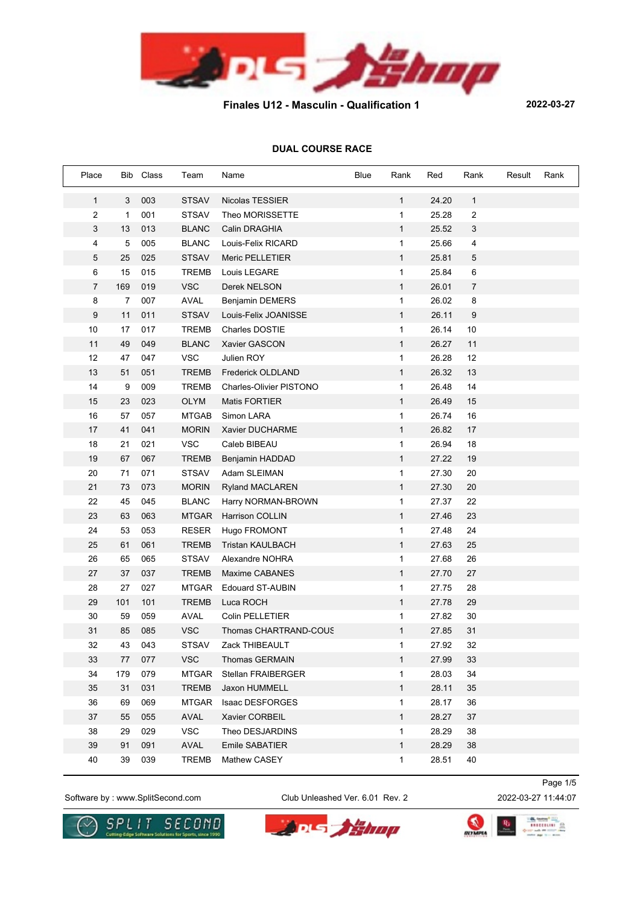

# **DUAL COURSE RACE**

| Place        |                | Bib Class | Team         | Name                           | Blue | Rank         | Red   | Rank                    | Result | Rank |
|--------------|----------------|-----------|--------------|--------------------------------|------|--------------|-------|-------------------------|--------|------|
| $\mathbf{1}$ | 3              | 003       | <b>STSAV</b> | Nicolas TESSIER                |      | $\mathbf{1}$ | 24.20 | $\mathbf{1}$            |        |      |
| 2            | $\mathbf{1}$   | 001       | <b>STSAV</b> | Theo MORISSETTE                |      | $\mathbf{1}$ | 25.28 | $\overline{\mathbf{c}}$ |        |      |
| 3            | 13             | 013       | <b>BLANC</b> | Calin DRAGHIA                  |      | $\mathbf{1}$ | 25.52 | 3                       |        |      |
| 4            | 5              | 005       | <b>BLANC</b> | Louis-Felix RICARD             |      | $\mathbf{1}$ | 25.66 | 4                       |        |      |
| 5            | 25             | 025       | <b>STSAV</b> | <b>Meric PELLETIER</b>         |      | $\mathbf{1}$ | 25.81 | 5                       |        |      |
| 6            | 15             | 015       | <b>TREMB</b> | Louis LEGARE                   |      | $\mathbf{1}$ | 25.84 | 6                       |        |      |
| 7            | 169            | 019       | <b>VSC</b>   | Derek NELSON                   |      | $\mathbf{1}$ | 26.01 | $\overline{7}$          |        |      |
| 8            | $\overline{7}$ | 007       | <b>AVAL</b>  | Benjamin DEMERS                |      | $\mathbf{1}$ | 26.02 | 8                       |        |      |
| 9            | 11             | 011       | <b>STSAV</b> | Louis-Felix JOANISSE           |      | $\mathbf{1}$ | 26.11 | 9                       |        |      |
| 10           | 17             | 017       | <b>TREMB</b> | <b>Charles DOSTIE</b>          |      | $\mathbf{1}$ | 26.14 | 10                      |        |      |
| 11           | 49             | 049       | <b>BLANC</b> | Xavier GASCON                  |      | $\mathbf{1}$ | 26.27 | 11                      |        |      |
| 12           | 47             | 047       | <b>VSC</b>   | Julien ROY                     |      | $\mathbf{1}$ | 26.28 | 12                      |        |      |
| 13           | 51             | 051       | <b>TREMB</b> | <b>Frederick OLDLAND</b>       |      | $\mathbf{1}$ | 26.32 | 13                      |        |      |
| 14           | 9              | 009       | <b>TREMB</b> | <b>Charles-Olivier PISTONO</b> |      | $\mathbf{1}$ | 26.48 | 14                      |        |      |
| 15           | 23             | 023       | <b>OLYM</b>  | <b>Matis FORTIER</b>           |      | $\mathbf{1}$ | 26.49 | 15                      |        |      |
| 16           | 57             | 057       | <b>MTGAB</b> | Simon LARA                     |      | $\mathbf{1}$ | 26.74 | 16                      |        |      |
| 17           | 41             | 041       | <b>MORIN</b> | <b>Xavier DUCHARME</b>         |      | $\mathbf{1}$ | 26.82 | 17                      |        |      |
| 18           | 21             | 021       | <b>VSC</b>   | Caleb BIBEAU                   |      | $\mathbf{1}$ | 26.94 | 18                      |        |      |
| 19           | 67             | 067       | <b>TREMB</b> | Benjamin HADDAD                |      | $\mathbf{1}$ | 27.22 | 19                      |        |      |
| 20           | 71             | 071       | <b>STSAV</b> | Adam SLEIMAN                   |      | $\mathbf{1}$ | 27.30 | 20                      |        |      |
| 21           | 73             | 073       | <b>MORIN</b> | <b>Ryland MACLAREN</b>         |      | $\mathbf{1}$ | 27.30 | 20                      |        |      |
| 22           | 45             | 045       | <b>BLANC</b> | Harry NORMAN-BROWN             |      | $\mathbf{1}$ | 27.37 | 22                      |        |      |
| 23           | 63             | 063       | <b>MTGAR</b> | Harrison COLLIN                |      | $\mathbf{1}$ | 27.46 | 23                      |        |      |
| 24           | 53             | 053       | <b>RESER</b> | Hugo FROMONT                   |      | $\mathbf{1}$ | 27.48 | 24                      |        |      |
| 25           | 61             | 061       | <b>TREMB</b> | <b>Tristan KAULBACH</b>        |      | $\mathbf{1}$ | 27.63 | 25                      |        |      |
| 26           | 65             | 065       | <b>STSAV</b> | Alexandre NOHRA                |      | $\mathbf{1}$ | 27.68 | 26                      |        |      |
| 27           | 37             | 037       | <b>TREMB</b> | Maxime CABANES                 |      | $\mathbf{1}$ | 27.70 | 27                      |        |      |
| 28           | 27             | 027       | <b>MTGAR</b> | <b>Edouard ST-AUBIN</b>        |      | $\mathbf{1}$ | 27.75 | 28                      |        |      |
| 29           | 101            | 101       | <b>TREMB</b> | Luca ROCH                      |      | $\mathbf{1}$ | 27.78 | 29                      |        |      |
| 30           | 59             | 059       | AVAL         | Colin PELLETIER                |      | $\mathbf{1}$ | 27.82 | 30                      |        |      |
| 31           | 85             | 085       | <b>VSC</b>   | Thomas CHARTRAND-COUS          |      | $\mathbf{1}$ | 27.85 | 31                      |        |      |
| 32           | 43             | 043       | STSAV        | Zack THIBEAULT                 |      | 1            | 27.92 | 32                      |        |      |
| 33           | 77             | 077       | <b>VSC</b>   | Thomas GERMAIN                 |      | $\mathbf{1}$ | 27.99 | 33                      |        |      |
| 34           | 179            | 079       | <b>MTGAR</b> | Stellan FRAIBERGER             |      | 1            | 28.03 | 34                      |        |      |
| 35           | 31             | 031       | <b>TREMB</b> | Jaxon HUMMELL                  |      | $\mathbf{1}$ | 28.11 | 35                      |        |      |
| 36           | 69             | 069       | <b>MTGAR</b> | <b>Isaac DESFORGES</b>         |      | $\mathbf{1}$ | 28.17 | 36                      |        |      |
| 37           | 55             | 055       | <b>AVAL</b>  | Xavier CORBEIL                 |      | $\mathbf{1}$ | 28.27 | 37                      |        |      |
| 38           | 29             | 029       | <b>VSC</b>   | Theo DESJARDINS                |      | 1            | 28.29 | 38                      |        |      |
| 39           | 91             | 091       | <b>AVAL</b>  | Emile SABATIER                 |      | 1            | 28.29 | 38                      |        |      |
| 40           | 39             | 039       | <b>TREMB</b> | Mathew CASEY                   |      | $\mathbf{1}$ | 28.51 | 40                      |        |      |

Software by : www.SplitSecond.com Club Unleashed Ver. 6.01 Rev. 2 2022-03-27 11:44:07

Page 1/5





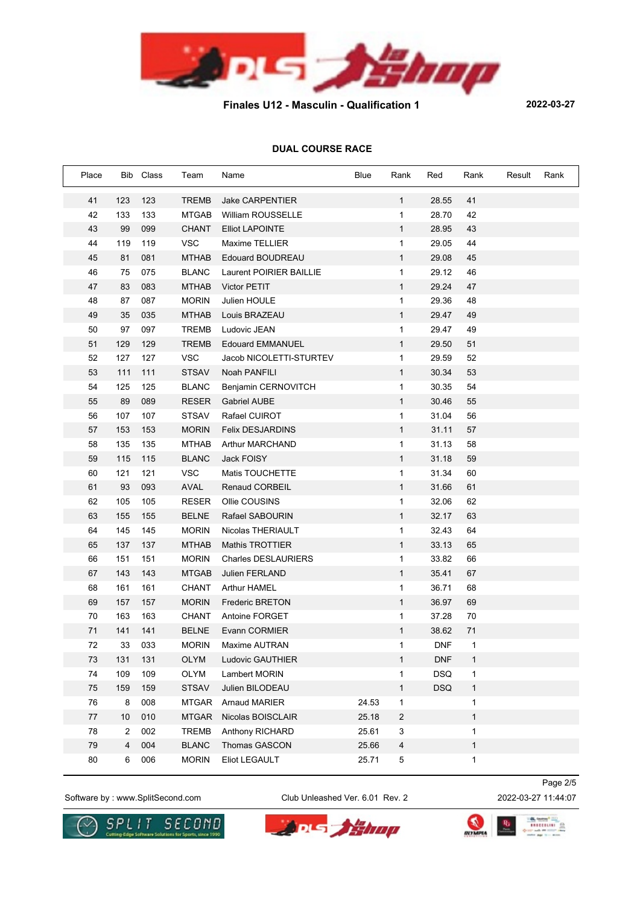

## **DUAL COURSE RACE**

| Place |     | Bib Class | Team         | Name                       | Blue  | Rank         | Red        | Rank         | Result | Rank |
|-------|-----|-----------|--------------|----------------------------|-------|--------------|------------|--------------|--------|------|
| 41    | 123 | 123       | <b>TREMB</b> | <b>Jake CARPENTIER</b>     |       | $\mathbf{1}$ | 28.55      | 41           |        |      |
| 42    | 133 | 133       | <b>MTGAB</b> | William ROUSSELLE          |       | $\mathbf{1}$ | 28.70      | 42           |        |      |
| 43    | 99  | 099       | <b>CHANT</b> | <b>Elliot LAPOINTE</b>     |       | $\mathbf{1}$ | 28.95      | 43           |        |      |
| 44    | 119 | 119       | <b>VSC</b>   | Maxime TELLIER             |       | $\mathbf{1}$ | 29.05      | 44           |        |      |
| 45    | 81  | 081       | <b>MTHAB</b> | <b>Edouard BOUDREAU</b>    |       | $\mathbf{1}$ | 29.08      | 45           |        |      |
| 46    | 75  | 075       | <b>BLANC</b> | Laurent POIRIER BAILLIE    |       | $\mathbf{1}$ | 29.12      | 46           |        |      |
| 47    | 83  | 083       | <b>MTHAB</b> | Victor PETIT               |       | $\mathbf{1}$ | 29.24      | 47           |        |      |
| 48    | 87  | 087       | <b>MORIN</b> | Julien HOULE               |       | $\mathbf{1}$ | 29.36      | 48           |        |      |
| 49    | 35  | 035       | <b>MTHAB</b> | Louis BRAZEAU              |       | $\mathbf{1}$ | 29.47      | 49           |        |      |
| 50    | 97  | 097       | <b>TREMB</b> | Ludovic JEAN               |       | $\mathbf{1}$ | 29.47      | 49           |        |      |
| 51    | 129 | 129       | TREMB        | <b>Edouard EMMANUEL</b>    |       | $\mathbf{1}$ | 29.50      | 51           |        |      |
| 52    | 127 | 127       | <b>VSC</b>   | Jacob NICOLETTI-STURTEV    |       | $\mathbf{1}$ | 29.59      | 52           |        |      |
| 53    | 111 | 111       | <b>STSAV</b> | Noah PANFILI               |       | $\mathbf{1}$ | 30.34      | 53           |        |      |
| 54    | 125 | 125       | <b>BLANC</b> | Benjamin CERNOVITCH        |       | $\mathbf{1}$ | 30.35      | 54           |        |      |
| 55    | 89  | 089       | <b>RESER</b> | <b>Gabriel AUBE</b>        |       | $\mathbf{1}$ | 30.46      | 55           |        |      |
| 56    | 107 | 107       | <b>STSAV</b> | Rafael CUIROT              |       | $\mathbf{1}$ | 31.04      | 56           |        |      |
| 57    | 153 | 153       | <b>MORIN</b> | <b>Felix DESJARDINS</b>    |       | $\mathbf{1}$ | 31.11      | 57           |        |      |
| 58    | 135 | 135       | <b>MTHAB</b> | Arthur MARCHAND            |       | $\mathbf 1$  | 31.13      | 58           |        |      |
| 59    | 115 | 115       | <b>BLANC</b> | Jack FOISY                 |       | $\mathbf{1}$ | 31.18      | 59           |        |      |
| 60    | 121 | 121       | <b>VSC</b>   | Matis TOUCHETTE            |       | $\mathbf{1}$ | 31.34      | 60           |        |      |
| 61    | 93  | 093       | <b>AVAL</b>  | <b>Renaud CORBEIL</b>      |       | $\mathbf{1}$ | 31.66      | 61           |        |      |
| 62    | 105 | 105       | <b>RESER</b> | Ollie COUSINS              |       | $\mathbf{1}$ | 32.06      | 62           |        |      |
| 63    | 155 | 155       | <b>BELNE</b> | Rafael SABOURIN            |       | $\mathbf{1}$ | 32.17      | 63           |        |      |
| 64    | 145 | 145       | <b>MORIN</b> | Nicolas THERIAULT          |       | $\mathbf{1}$ | 32.43      | 64           |        |      |
| 65    | 137 | 137       | <b>MTHAB</b> | Mathis TROTTIER            |       | $\mathbf{1}$ | 33.13      | 65           |        |      |
| 66    | 151 | 151       | <b>MORIN</b> | <b>Charles DESLAURIERS</b> |       | $\mathbf{1}$ | 33.82      | 66           |        |      |
| 67    | 143 | 143       | <b>MTGAB</b> | <b>Julien FERLAND</b>      |       | $\mathbf{1}$ | 35.41      | 67           |        |      |
| 68    | 161 | 161       | CHANT        | <b>Arthur HAMEL</b>        |       | $\mathbf{1}$ | 36.71      | 68           |        |      |
| 69    | 157 | 157       | <b>MORIN</b> | <b>Frederic BRETON</b>     |       | $\mathbf{1}$ | 36.97      | 69           |        |      |
| 70    | 163 | 163       | CHANT        | Antoine FORGET             |       | $\mathbf{1}$ | 37.28      | 70           |        |      |
| 71    | 141 | 141       | <b>BELNE</b> | Evann CORMIER              |       | $\mathbf{1}$ | 38.62      | 71           |        |      |
| 72    | 33  | 033       | <b>MORIN</b> | Maxime AUTRAN              |       | $\mathbf{1}$ | <b>DNF</b> | $\mathbf{1}$ |        |      |
| 73    | 131 | 131       | <b>OLYM</b>  | Ludovic GAUTHIER           |       | $\mathbf{1}$ | <b>DNF</b> | $\mathbf{1}$ |        |      |
| 74    | 109 | 109       | <b>OLYM</b>  | Lambert MORIN              |       | 1            | <b>DSQ</b> | 1            |        |      |
| 75    | 159 | 159       | <b>STSAV</b> | Julien BILODEAU            |       | $\mathbf{1}$ | <b>DSQ</b> | $\mathbf{1}$ |        |      |
| 76    | 8   | 008       | <b>MTGAR</b> | <b>Arnaud MARIER</b>       | 24.53 | 1            |            | 1            |        |      |
| 77    | 10  | 010       | <b>MTGAR</b> | Nicolas BOISCLAIR          | 25.18 | $\mathbf{2}$ |            | $\mathbf{1}$ |        |      |
| 78    | 2   | 002       | <b>TREMB</b> | Anthony RICHARD            | 25.61 | 3            |            | $\mathbf{1}$ |        |      |
| 79    | 4   | 004       | <b>BLANC</b> | Thomas GASCON              | 25.66 | 4            |            | $\mathbf{1}$ |        |      |
| 80    | 6   | 006       | <b>MORIN</b> | Eliot LEGAULT              | 25.71 | 5            |            | 1            |        |      |

Software by : www.SplitSecond.com Club Unleashed Ver. 6.01 Rev. 2 2022-03-27 11:44:07

Page 2/5





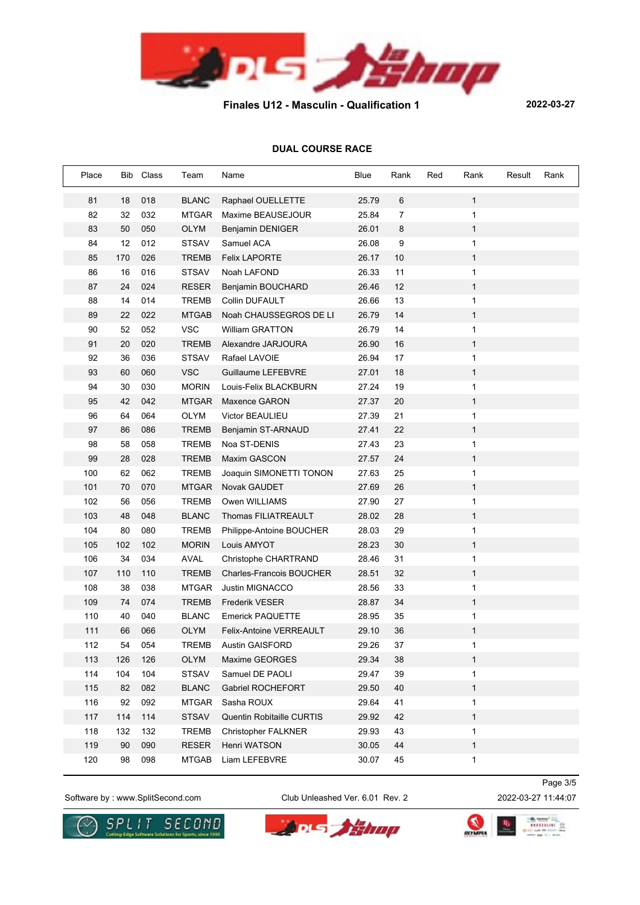

# **DUAL COURSE RACE**

| Place |     | Bib Class | Team         | Name                            | Blue  | Rank           | Red | Rank         | Result | Rank |
|-------|-----|-----------|--------------|---------------------------------|-------|----------------|-----|--------------|--------|------|
| 81    | 18  | 018       | <b>BLANC</b> | Raphael OUELLETTE               | 25.79 | 6              |     | $\mathbf{1}$ |        |      |
| 82    | 32  | 032       | <b>MTGAR</b> | Maxime BEAUSEJOUR               | 25.84 | $\overline{7}$ |     | 1            |        |      |
| 83    | 50  | 050       | <b>OLYM</b>  | Benjamin DENIGER                | 26.01 | 8              |     | $\mathbf{1}$ |        |      |
| 84    | 12  | 012       | <b>STSAV</b> | Samuel ACA                      | 26.08 | 9              |     | 1            |        |      |
| 85    | 170 | 026       | <b>TREMB</b> | <b>Felix LAPORTE</b>            | 26.17 | 10             |     | $\mathbf{1}$ |        |      |
| 86    | 16  | 016       | <b>STSAV</b> | Noah LAFOND                     | 26.33 | 11             |     | 1            |        |      |
| 87    | 24  | 024       | <b>RESER</b> | Benjamin BOUCHARD               | 26.46 | 12             |     | $\mathbf{1}$ |        |      |
| 88    | 14  | 014       | <b>TREMB</b> | Collin DUFAULT                  | 26.66 | 13             |     | 1            |        |      |
| 89    | 22  | 022       | <b>MTGAB</b> | Noah CHAUSSEGROS DE LI          | 26.79 | 14             |     | $\mathbf{1}$ |        |      |
| 90    | 52  | 052       | <b>VSC</b>   | William GRATTON                 | 26.79 | 14             |     | 1            |        |      |
| 91    | 20  | 020       | <b>TREMB</b> | Alexandre JARJOURA              | 26.90 | 16             |     | $\mathbf{1}$ |        |      |
| 92    | 36  | 036       | <b>STSAV</b> | Rafael LAVOIE                   | 26.94 | 17             |     | 1            |        |      |
| 93    | 60  | 060       | <b>VSC</b>   | Guillaume LEFEBVRE              | 27.01 | 18             |     | $\mathbf{1}$ |        |      |
| 94    | 30  | 030       | <b>MORIN</b> | Louis-Felix BLACKBURN           | 27.24 | 19             |     | 1            |        |      |
| 95    | 42  | 042       | <b>MTGAR</b> | Maxence GARON                   | 27.37 | 20             |     | $\mathbf{1}$ |        |      |
| 96    | 64  | 064       | <b>OLYM</b>  | Victor BEAULIEU                 | 27.39 | 21             |     | 1            |        |      |
| 97    | 86  | 086       | <b>TREMB</b> | Benjamin ST-ARNAUD              | 27.41 | 22             |     | $\mathbf{1}$ |        |      |
| 98    | 58  | 058       | <b>TREMB</b> | Noa ST-DENIS                    | 27.43 | 23             |     | $\mathbf 1$  |        |      |
| 99    | 28  | 028       | <b>TREMB</b> | Maxim GASCON                    | 27.57 | 24             |     | $\mathbf{1}$ |        |      |
| 100   | 62  | 062       | <b>TREMB</b> | Joaquin SIMONETTI TONON         | 27.63 | 25             |     | $\mathbf{1}$ |        |      |
| 101   | 70  | 070       | <b>MTGAR</b> | Novak GAUDET                    | 27.69 | 26             |     | $\mathbf{1}$ |        |      |
| 102   | 56  | 056       | <b>TREMB</b> | Owen WILLIAMS                   | 27.90 | 27             |     | $\mathbf{1}$ |        |      |
| 103   | 48  | 048       | <b>BLANC</b> | Thomas FILIATREAULT             | 28.02 | 28             |     | $\mathbf{1}$ |        |      |
| 104   | 80  | 080       | <b>TREMB</b> | Philippe-Antoine BOUCHER        | 28.03 | 29             |     | 1            |        |      |
| 105   | 102 | 102       | <b>MORIN</b> | Louis AMYOT                     | 28.23 | 30             |     | $\mathbf{1}$ |        |      |
| 106   | 34  | 034       | <b>AVAL</b>  | Christophe CHARTRAND            | 28.46 | 31             |     | 1            |        |      |
| 107   | 110 | 110       | <b>TREMB</b> | <b>Charles-Francois BOUCHER</b> | 28.51 | 32             |     | $\mathbf{1}$ |        |      |
| 108   | 38  | 038       | <b>MTGAR</b> | Justin MIGNACCO                 | 28.56 | 33             |     | $\mathbf{1}$ |        |      |
| 109   | 74  | 074       | <b>TREMB</b> | <b>Frederik VESER</b>           | 28.87 | 34             |     | $\mathbf{1}$ |        |      |
| 110   | 40  | 040       | <b>BLANC</b> | <b>Emerick PAQUETTE</b>         | 28.95 | 35             |     | 1            |        |      |
| 111   | 66  | 066       | <b>OLYM</b>  | <b>Felix-Antoine VERREAULT</b>  | 29.10 | 36             |     | $\mathbf{1}$ |        |      |
| 112   | 54  | 054       | <b>TREMB</b> | Austin GAISFORD                 | 29.26 | 37             |     | 1            |        |      |
| 113   | 126 | 126       | <b>OLYM</b>  | Maxime GEORGES                  | 29.34 | 38             |     | $\mathbf{1}$ |        |      |
| 114   | 104 | 104       | <b>STSAV</b> | Samuel DE PAOLI                 | 29.47 | 39             |     | $\mathbf{1}$ |        |      |
| 115   | 82  | 082       | <b>BLANC</b> | Gabriel ROCHEFORT               | 29.50 | 40             |     | $\mathbf{1}$ |        |      |
| 116   | 92  | 092       | <b>MTGAR</b> | Sasha ROUX                      | 29.64 | 41             |     | $\mathbf{1}$ |        |      |
| 117   | 114 | 114       | <b>STSAV</b> | Quentin Robitaille CURTIS       | 29.92 | 42             |     | $\mathbf{1}$ |        |      |
| 118   | 132 | 132       | <b>TREMB</b> | <b>Christopher FALKNER</b>      | 29.93 | 43             |     | $\mathbf{1}$ |        |      |
| 119   | 90  | 090       | <b>RESER</b> | Henri WATSON                    | 30.05 | 44             |     | $\mathbf{1}$ |        |      |
| 120   | 98  | 098       | <b>MTGAB</b> | Liam LEFEBVRE                   | 30.07 | 45             |     | $\mathbf{1}$ |        |      |

Software by : www.SplitSecond.com Club Unleashed Ver. 6.01 Rev. 2 2022-03-27 11:44:07

Page 3/5





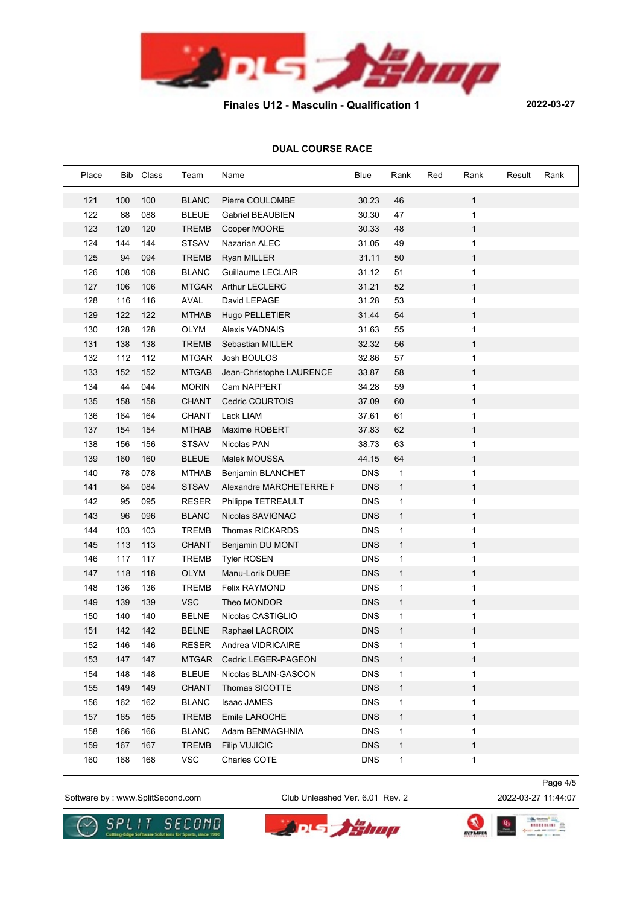

# **DUAL COURSE RACE**

| Place |     | Bib Class | Team         | Name                     | Blue       | Rank         | Red | Rank         | Result | Rank |
|-------|-----|-----------|--------------|--------------------------|------------|--------------|-----|--------------|--------|------|
| 121   | 100 | 100       | <b>BLANC</b> | Pierre COULOMBE          | 30.23      | 46           |     | $\mathbf{1}$ |        |      |
| 122   | 88  | 088       | <b>BLEUE</b> | <b>Gabriel BEAUBIEN</b>  | 30.30      | 47           |     | 1            |        |      |
| 123   | 120 | 120       | <b>TREMB</b> | Cooper MOORE             | 30.33      | 48           |     | $\mathbf{1}$ |        |      |
| 124   | 144 | 144       | <b>STSAV</b> | Nazarian ALEC            | 31.05      | 49           |     | 1            |        |      |
| 125   | 94  | 094       | <b>TREMB</b> | Ryan MILLER              | 31.11      | 50           |     | $\mathbf{1}$ |        |      |
| 126   | 108 | 108       | <b>BLANC</b> | Guillaume LECLAIR        | 31.12      | 51           |     | 1            |        |      |
| 127   | 106 | 106       | <b>MTGAR</b> | <b>Arthur LECLERC</b>    | 31.21      | 52           |     | $\mathbf{1}$ |        |      |
| 128   | 116 | 116       | <b>AVAL</b>  | David LEPAGE             | 31.28      | 53           |     | $\mathbf{1}$ |        |      |
| 129   | 122 | 122       | <b>MTHAB</b> | Hugo PELLETIER           | 31.44      | 54           |     | $\mathbf{1}$ |        |      |
| 130   | 128 | 128       | <b>OLYM</b>  | <b>Alexis VADNAIS</b>    | 31.63      | 55           |     | $\mathbf{1}$ |        |      |
| 131   | 138 | 138       | <b>TREMB</b> | Sebastian MILLER         | 32.32      | 56           |     | $\mathbf{1}$ |        |      |
| 132   | 112 | 112       | <b>MTGAR</b> | Josh BOULOS              | 32.86      | 57           |     | 1            |        |      |
| 133   | 152 | 152       | <b>MTGAB</b> | Jean-Christophe LAURENCE | 33.87      | 58           |     | $\mathbf{1}$ |        |      |
| 134   | 44  | 044       | <b>MORIN</b> | Cam NAPPERT              | 34.28      | 59           |     | $\mathbf{1}$ |        |      |
| 135   | 158 | 158       | <b>CHANT</b> | Cedric COURTOIS          | 37.09      | 60           |     | $\mathbf{1}$ |        |      |
| 136   | 164 | 164       | <b>CHANT</b> | Lack LIAM                | 37.61      | 61           |     | 1            |        |      |
| 137   | 154 | 154       | <b>MTHAB</b> | Maxime ROBERT            | 37.83      | 62           |     | $\mathbf{1}$ |        |      |
| 138   | 156 | 156       | <b>STSAV</b> | Nicolas PAN              | 38.73      | 63           |     | $\mathbf 1$  |        |      |
| 139   | 160 | 160       | <b>BLEUE</b> | Malek MOUSSA             | 44.15      | 64           |     | $\mathbf{1}$ |        |      |
| 140   | 78  | 078       | <b>MTHAB</b> | Benjamin BLANCHET        | <b>DNS</b> | $\mathbf{1}$ |     | 1            |        |      |
| 141   | 84  | 084       | <b>STSAV</b> | Alexandre MARCHETERRE F  | <b>DNS</b> | $\mathbf{1}$ |     | $\mathbf{1}$ |        |      |
| 142   | 95  | 095       | <b>RESER</b> | Philippe TETREAULT       | <b>DNS</b> | $\mathbf{1}$ |     | 1            |        |      |
| 143   | 96  | 096       | <b>BLANC</b> | Nicolas SAVIGNAC         | <b>DNS</b> | $\mathbf{1}$ |     | $\mathbf{1}$ |        |      |
| 144   | 103 | 103       | <b>TREMB</b> | <b>Thomas RICKARDS</b>   | <b>DNS</b> | 1            |     | 1            |        |      |
| 145   | 113 | 113       | <b>CHANT</b> | Benjamin DU MONT         | <b>DNS</b> | $\mathbf{1}$ |     | $\mathbf{1}$ |        |      |
| 146   | 117 | 117       | <b>TREMB</b> | Tyler ROSEN              | <b>DNS</b> | 1            |     | 1            |        |      |
| 147   | 118 | 118       | <b>OLYM</b>  | Manu-Lorik DUBE          | <b>DNS</b> | $\mathbf{1}$ |     | $\mathbf{1}$ |        |      |
| 148   | 136 | 136       | <b>TREMB</b> | <b>Felix RAYMOND</b>     | <b>DNS</b> | 1            |     | $\mathbf{1}$ |        |      |
| 149   | 139 | 139       | <b>VSC</b>   | Theo MONDOR              | <b>DNS</b> | $\mathbf{1}$ |     | $\mathbf{1}$ |        |      |
| 150   | 140 | 140       | <b>BELNE</b> | Nicolas CASTIGLIO        | <b>DNS</b> | 1            |     | 1            |        |      |
| 151   | 142 | 142       | <b>BELNE</b> | Raphael LACROIX          | <b>DNS</b> | $\mathbf{1}$ |     | $\mathbf{1}$ |        |      |
| 152   | 146 | 146       | <b>RESER</b> | Andrea VIDRICAIRE        | <b>DNS</b> | 1            |     | 1            |        |      |
| 153   | 147 | 147       | MTGAR        | Cedric LEGER-PAGEON      | <b>DNS</b> | $\mathbf{1}$ |     | $\mathbf{1}$ |        |      |
| 154   | 148 | 148       | <b>BLEUE</b> | Nicolas BLAIN-GASCON     | <b>DNS</b> | 1            |     | 1            |        |      |
| 155   | 149 | 149       | <b>CHANT</b> | Thomas SICOTTE           | <b>DNS</b> | $\mathbf{1}$ |     | $\mathbf{1}$ |        |      |
| 156   | 162 | 162       | <b>BLANC</b> | Isaac JAMES              | <b>DNS</b> | $\mathbf{1}$ |     | $\mathbf{1}$ |        |      |
| 157   | 165 | 165       | <b>TREMB</b> | Emile LAROCHE            | <b>DNS</b> | $\mathbf{1}$ |     | $\mathbf{1}$ |        |      |
| 158   | 166 | 166       | <b>BLANC</b> | Adam BENMAGHNIA          | <b>DNS</b> | 1            |     | 1            |        |      |
| 159   | 167 | 167       | <b>TREMB</b> | <b>Filip VUJICIC</b>     | <b>DNS</b> | $\mathbf{1}$ |     | $\mathbf{1}$ |        |      |
| 160   | 168 | 168       | <b>VSC</b>   | Charles COTE             | <b>DNS</b> | $\mathbf{1}$ |     | 1            |        |      |

Software by : www.SplitSecond.com Club Unleashed Ver. 6.01 Rev. 2 2022-03-27 11:44:07

Page 4/5